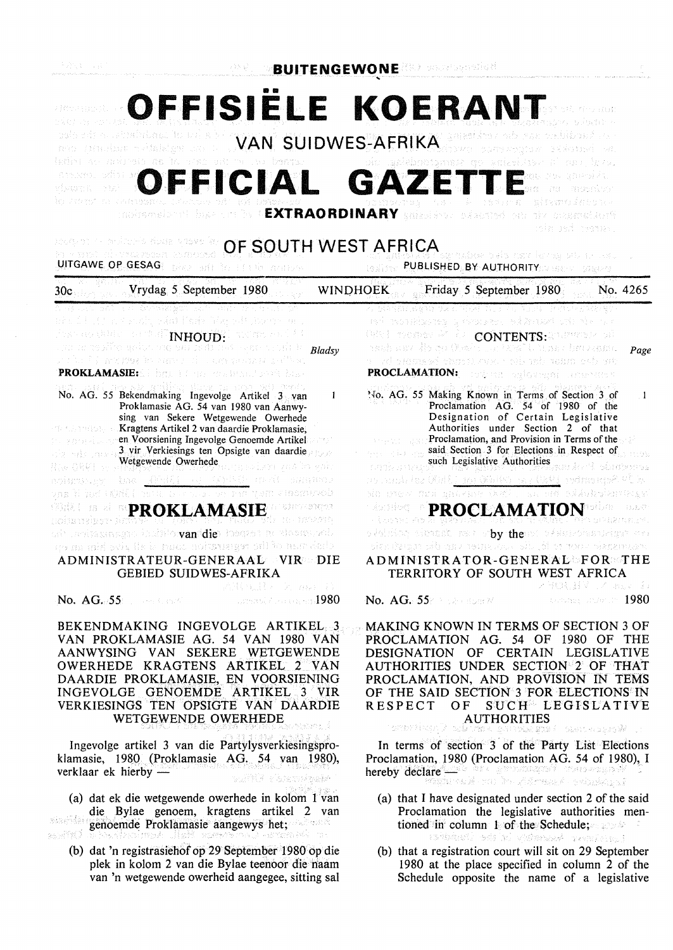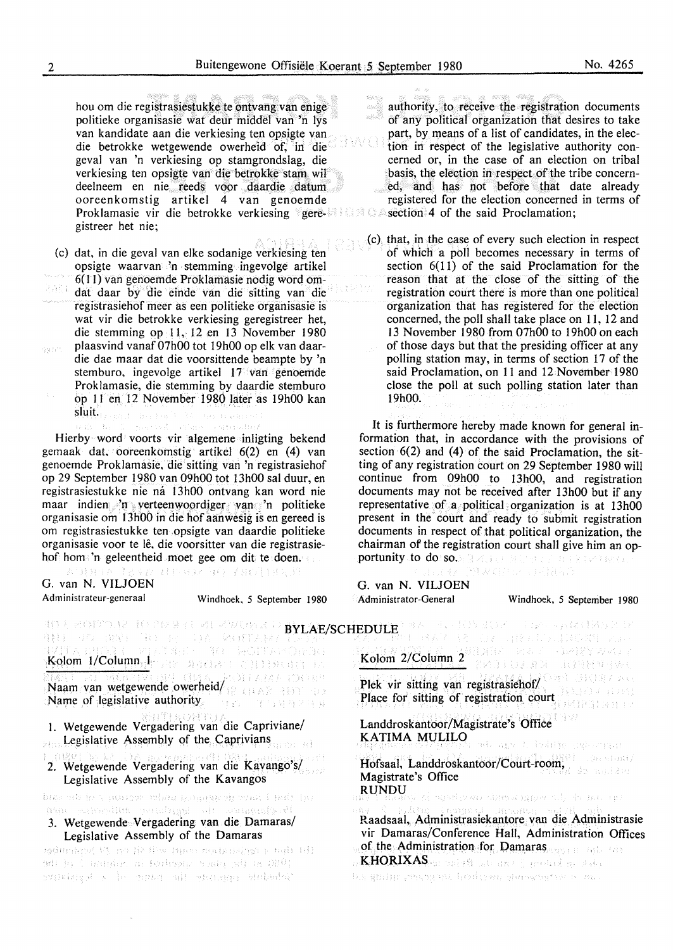8 W 1

hou om die registrasiestukke te ontvang van enige politieke organisasie wat deur tniddel van 'n lys van kandidate aan die verkiesing ten opsigte van die betrokke wetgewende owerheid of, in die geval van 'n verkiesing op stamgrondslag, die verkiesing ten opsigte van die betrokke stam wil deelneem en nie reeds voor daardie datum ooreenkomstig artikel 4 van genoemde Proklamasie vir die betrokke verkiesing geregistreer het nie;

(c) dat, in die geval van elke sodanige verkiesing ten opsigte waarvan 'n stemming ingevolge artikel 6(11) van genoemde Proklamasie nodig word om-异族形态 dat daar by die einde van die sitting van die registrasiehof meer as een politieke organisasie is wat vir die betrokke verkiesing geregistreer het, die stemming op 11, 12 en 13 November 1980 plaasvind vanaf 07h00 tot 19h00 op elk van daarega ti<sup>ra</sup> die dae maar dat die voorsittende beampte by 'n stemburo, ingevolge artikel 17 van genoemde Proklamasie, die stemming by daardie stemburo op 11 en 12 November 1980 later as 19h00 kan  $\textbf{sluit.}_{\{x+y\},\{(-h)\}\times\mathbb{R}^{n}\times\mathbb{R}^{n}}$ **Richmond Bank** Board R.

Hierby word voorts vir algemene inligting bekend gemaak dat. ooreenkomstig artikel 6(2) en (4) van genoemde Proklamasie, die sitting van 'n registrasiehof op 29 September 1980 van 09h00 tot 13h00 sal duur, en registrasiestukke nie ná 13h00 ontvang kan word nie maar indien 'n verteenwoordiger van 'n politieke organisasie om 13h00 in die hof aanwesig is en gereed is om registrasiestukke ten .opsigte van daardie politieke organisasie voor te le, die voorsitter van die registrasiehof horn 'n geleentheid moet gee om dit te doen.

**表气转 唇目 A** 经机器环 每年子报得18万元 G. van N. VILJOEN

Administrateur-generaal Windhoek, 5 September 1980

authority, to receive the registration documents of any political organization that desires to take part, by means of a list of candidates, in the election in respect of the legislative authority concerned or, in the case of an election on tribal basis, the election in respect of the tribe concerned, and has not before that date already registered for the election concerned in terms of section 4 of the said Proclamation;

(c) that, in the case of every such election in respect of which a poll becomes necessary in terms of section 6(11) of the said Proclamation for the reason that at the close of the sitting of the registration court there is more than one political organization that has registered for the election concerned, the poll shall take place on 11, 12 and 13 November 1980 from 07h00 to 19h00 on each of those days but that the presiding officer at any polling station may, in terms of section 17 of the said Proclamation, on 11 and 12 November 1980 close the poll at such polling station later than 19h00.

It is furthermore hereby made known for general information that, in accordance with the provisions of section 6(2) and (4) of the said Proclamation, the sitting of any registration court on 29 September 1980 will continue from 09h00 to 13h00, and registration documents may not be received after 13h00 but if any representative of a political organization is at 13h00 present in the court and ready to submit registration documents in respect of that political organization, the chairman of the registration court shall give him an opportunity to do: so. A least set of the second sector

**MAGE CONTROL** G. van N. VIUOEN

Administrator-General Windhoek, 5 September 1980

| in benne in te te se an ewens o <b>BYLAE/SCHEDULE</b> and the fill show the spiriture of<br>AN TO THE THE ATTICATION OF THE TAIL<br><b>MA Z TR</b> HT RAY TA TOX OBA CONDUCTORS VOL                                                                                                  |                                                                                                                                                                                                                                                                                           |
|--------------------------------------------------------------------------------------------------------------------------------------------------------------------------------------------------------------------------------------------------------------------------------------|-------------------------------------------------------------------------------------------------------------------------------------------------------------------------------------------------------------------------------------------------------------------------------------------|
| <b>1711 A CHORA COVERNADO - RA DEODORESE</b><br>1 <mark>Kolom 1/Column<sub>at</sub>erias de a</mark> stas de estados en                                                                                                                                                              | Kolom 2/Column 2 2008 Reserve Brand Column                                                                                                                                                                                                                                                |
| Main Alexande owerheid Graze DOM                                                                                                                                                                                                                                                     | Plek vir sitting van registrasiehof/                                                                                                                                                                                                                                                      |
| Name of legislative authority. The company of the                                                                                                                                                                                                                                    | Place for sitting of registration court                                                                                                                                                                                                                                                   |
| 1. Wetgewende Vergadering van die Capriviane/                                                                                                                                                                                                                                        | Landdroskantoor/Magistrate's Office                                                                                                                                                                                                                                                       |
| Legislative Assembly of the Caprivians                                                                                                                                                                                                                                               | KATIMA MULILO $\frac{1}{2}$ and $\frac{1}{2}$ and $\frac{1}{2}$ and $\frac{1}{2}$ and $\frac{1}{2}$ and $\frac{1}{2}$ and $\frac{1}{2}$ and $\frac{1}{2}$ and $\frac{1}{2}$ and $\frac{1}{2}$ and $\frac{1}{2}$ and $\frac{1}{2}$ and $\frac{1}{2}$ and $\frac{1}{2}$ and $\frac{1}{2}$ a |
| 1 (0891 h) 42 (1) morning van die Kavango's/                                                                                                                                                                                                                                         | Hofsaal, Landdroskantoor/Court-room,                                                                                                                                                                                                                                                      |
| Legislative Assembly of the Kavangos                                                                                                                                                                                                                                                 | Magistrate's Office                                                                                                                                                                                                                                                                       |
| og del isto desgage digita accumpation del de cat                                                                                                                                                                                                                                    |                                                                                                                                                                                                                                                                                           |
| the glaripation the aggriciency attilogenism agg<br>3. Wetgewende Vergadering van die Damaras/<br>Legislative Assembly of the Damaras<br>(b) that { tanjanana man real will be hill beginning<br>ada jo ( namjer, ni lenkopnja jesta po lako i<br>stikist k in nota ali potes debebi | Raadsaal, Administrasiekantore van die Administrasie<br>vir Damaras/Conference Hall, Administration Offices<br>of the Administration for Damaras and the file<br>KHORIXAS an aniver and a product or state,<br>ing genijp peganjak beskesse glebeng tak a sal                             |